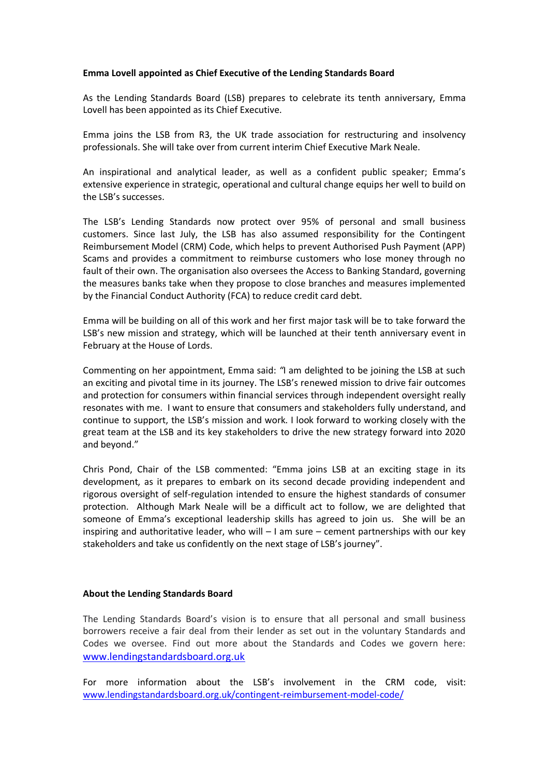## **Emma Lovell appointed as Chief Executive of the Lending Standards Board**

As the Lending Standards Board (LSB) prepares to celebrate its tenth anniversary, Emma Lovell has been appointed as its Chief Executive.

Emma joins the LSB from R3, the UK trade association for restructuring and insolvency professionals. She will take over from current interim Chief Executive Mark Neale.

An inspirational and analytical leader, as well as a confident public speaker; Emma's extensive experience in strategic, operational and cultural change equips her well to build on the LSB's successes.

The LSB's Lending Standards now protect over 95% of personal and small business customers. Since last July, the LSB has also assumed responsibility for the Contingent Reimbursement Model (CRM) Code, which helps to prevent Authorised Push Payment (APP) Scams and provides a commitment to reimburse customers who lose money through no fault of their own. The organisation also oversees the Access to Banking Standard, governing the measures banks take when they propose to close branches and measures implemented by the Financial Conduct Authority (FCA) to reduce credit card debt.

Emma will be building on all of this work and her first major task will be to take forward the LSB's new mission and strategy, which will be launched at their tenth anniversary event in February at the House of Lords.

Commenting on her appointment, Emma said: *"*I am delighted to be joining the LSB at such an exciting and pivotal time in its journey. The LSB's renewed mission to drive fair outcomes and protection for consumers within financial services through independent oversight really resonates with me. I want to ensure that consumers and stakeholders fully understand, and continue to support, the LSB's mission and work. I look forward to working closely with the great team at the LSB and its key stakeholders to drive the new strategy forward into 2020 and beyond."

Chris Pond, Chair of the LSB commented: "Emma joins LSB at an exciting stage in its development, as it prepares to embark on its second decade providing independent and rigorous oversight of self-regulation intended to ensure the highest standards of consumer protection. Although Mark Neale will be a difficult act to follow, we are delighted that someone of Emma's exceptional leadership skills has agreed to join us. She will be an inspiring and authoritative leader, who will  $-1$  am sure – cement partnerships with our key stakeholders and take us confidently on the next stage of LSB's journey".

## **About the Lending Standards Board**

The Lending Standards Board's vision is to ensure that all personal and small business borrowers receive a fair deal from their lender as set out in the voluntary Standards and Codes we oversee. Find out more about the Standards and Codes we govern here: [www.lendingstandardsboard.org.uk](http://www.lendingstandardsboard.org.uk/)

For more information about the LSB's involvement in the CRM code, visit: [www.lendingstandardsboard.org.uk/contingent-reimbursement-model-code/](https://www.lendingstandardsboard.org.uk/contingent-reimbursement-model-code/)